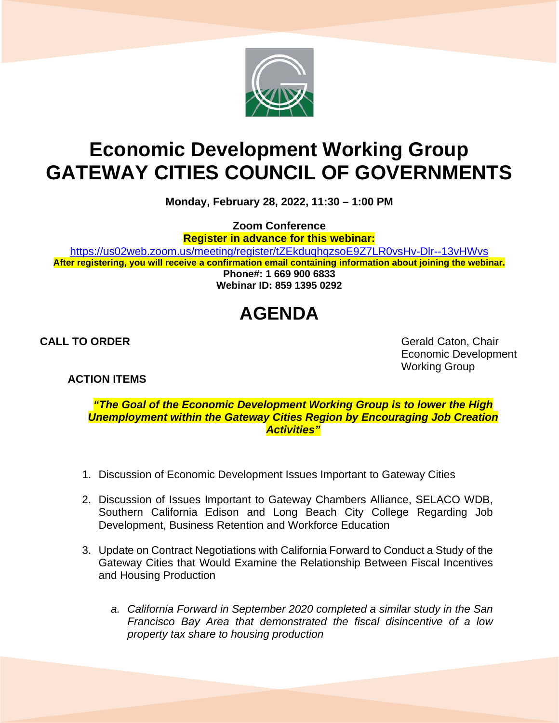

## **Economic Development Working Group GATEWAY CITIES COUNCIL OF GOVERNMENTS**

**Monday, February 28, 2022, 11:30 – 1:00 PM**

**Zoom Conference**

**Register in advance for this webinar:**

<https://us02web.zoom.us/meeting/register/tZEkduqhqzsoE9Z7LR0vsHv-Dlr--13vHWvs> **After registering, you will receive a confirmation email containing information about joining the webinar. Phone#: 1 669 900 6833**

**Webinar ID: 859 1395 0292**

## **AGENDA**

**ACTION ITEMS**

**CALL TO ORDER** Gerald Caton, Chair Economic Development Working Group

*"The Goal of the Economic Development Working Group is to lower the High Unemployment within the Gateway Cities Region by Encouraging Job Creation Activities"*

- 1. Discussion of Economic Development Issues Important to Gateway Cities
- 2. Discussion of Issues Important to Gateway Chambers Alliance, SELACO WDB, Southern California Edison and Long Beach City College Regarding Job Development, Business Retention and Workforce Education
- 3. Update on Contract Negotiations with California Forward to Conduct a Study of the Gateway Cities that Would Examine the Relationship Between Fiscal Incentives and Housing Production
	- *a. California Forward in September 2020 completed a similar study in the San Francisco Bay Area that demonstrated the fiscal disincentive of a low property tax share to housing production*